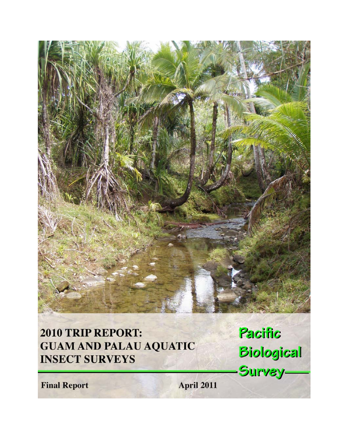

# 2010 TRIP REPORT: **GUAM AND PALAU AQUATIC INSECT SURVEYS**

Pacific **Biological** Survey-

**Final Report** 

April 2011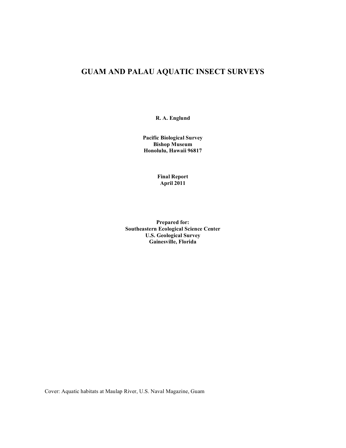# **GUAM AND PALAU AQUATIC INSECT SURVEYS**

**R. A. Englund**

**Pacific Biological Survey Bishop Museum Honolulu, Hawaii 96817**

> **Final Report April 2011**

**Prepared for: Southeastern Ecological Science Center U.S. Geological Survey Gainesville, Florida**

Cover: Aquatic habitats at Maulap River, U.S. Naval Magazine, Guam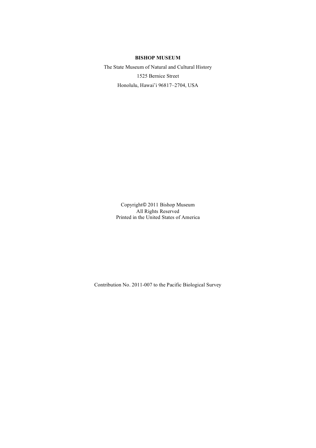## **BISHOP MUSEUM**

The State Museum of Natural and Cultural History 1525 Bernice Street Honolulu, Hawai'i 96817–2704, USA

> Copyright© 2011 Bishop Museum All Rights Reserved Printed in the United States of America

Contribution No. 2011-007 to the Pacific Biological Survey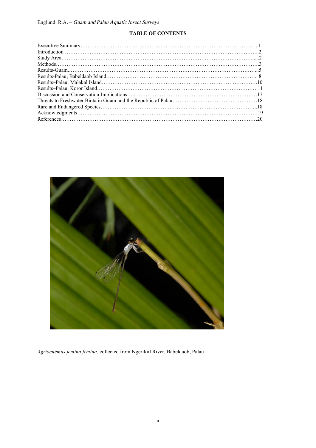# **TABLE OF CONTENTS**



*Agriocnemus femina femina*, collected from Ngerikiil River, Babeldaob, Palau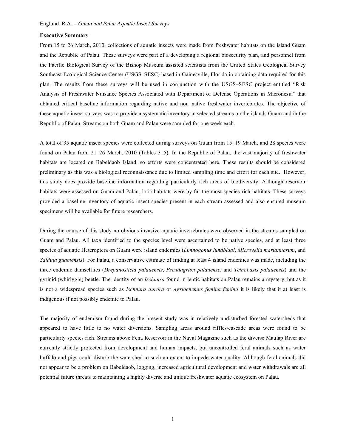#### **Executive Summary**

From 15 to 26 March, 2010, collections of aquatic insects were made from freshwater habitats on the island Guam and the Republic of Palau. These surveys were part of a developing a regional biosecurity plan, and personnel from the Pacific Biological Survey of the Bishop Museum assisted scientists from the United States Geological Survey Southeast Ecological Science Center (USGS–SESC) based in Gainesville, Florida in obtaining data required for this plan. The results from these surveys will be used in conjunction with the USGS–SESC project entitled "Risk Analysis of Freshwater Nuisance Species Associated with Department of Defense Operations in Micronesia" that obtained critical baseline information regarding native and non–native freshwater invertebrates. The objective of these aquatic insect surveys was to provide a systematic inventory in selected streams on the islands Guam and in the Republic of Palau. Streams on both Guam and Palau were sampled for one week each.

A total of 35 aquatic insect species were collected during surveys on Guam from 15–19 March, and 28 species were found on Palau from 21–26 March, 2010 (Tables 3–5). In the Republic of Palau, the vast majority of freshwater habitats are located on Babeldaob Island, so efforts were concentrated here. These results should be considered preliminary as this was a biological reconnaissance due to limited sampling time and effort for each site. However, this study does provide baseline information regarding particularly rich areas of biodiversity. Although reservoir habitats were assessed on Guam and Palau, lotic habitats were by far the most species-rich habitats. These surveys provided a baseline inventory of aquatic insect species present in each stream assessed and also ensured museum specimens will be available for future researchers.

During the course of this study no obvious invasive aquatic invertebrates were observed in the streams sampled on Guam and Palau. All taxa identified to the species level were ascertained to be native species, and at least three species of aquatic Heteroptera on Guam were island endemics (*Limnogonus lundbladi*, *Microvelia mariannarum*, and *Saldula guamensis*). For Palau, a conservative estimate of finding at least 4 island endemics was made, including the three endemic damselflies (*Drepanosticta palauensis*, *Pseudagrion palauense*, and *Teinobasis palauensis*) and the gyrinid (whirlygig) beetle. The identity of an *Ischnura* found in lentic habitats on Palau remains a mystery, but as it is not a widespread species such as *Ischnura aurora* or *Agriocnemus femina femina* it is likely that it at least is indigenous if not possibly endemic to Palau.

The majority of endemism found during the present study was in relatively undisturbed forested watersheds that appeared to have little to no water diversions. Sampling areas around riffles/cascade areas were found to be particularly species rich. Streams above Fena Reservoir in the Naval Magazine such as the diverse Maulap River are currently strictly protected from development and human impacts, but uncontrolled feral animals such as water buffalo and pigs could disturb the watershed to such an extent to impede water quality. Although feral animals did not appear to be a problem on Babeldaob, logging, increased agricultural development and water withdrawals are all potential future threats to maintaining a highly diverse and unique freshwater aquatic ecosystem on Palau.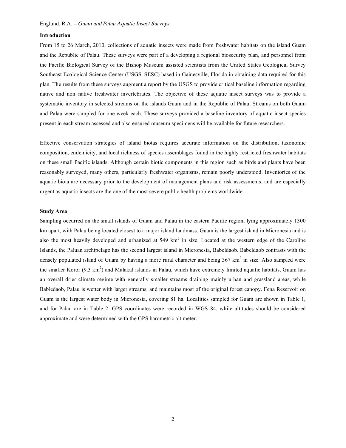#### **Introduction**

From 15 to 26 March, 2010, collections of aquatic insects were made from freshwater habitats on the island Guam and the Republic of Palau. These surveys were part of a developing a regional biosecurity plan, and personnel from the Pacific Biological Survey of the Bishop Museum assisted scientists from the United States Geological Survey Southeast Ecological Science Center (USGS–SESC) based in Gainesville, Florida in obtaining data required for this plan. The results from these surveys augment a report by the USGS to provide critical baseline information regarding native and non–native freshwater invertebrates. The objective of these aquatic insect surveys was to provide a systematic inventory in selected streams on the islands Guam and in the Republic of Palau. Streams on both Guam and Palau were sampled for one week each. These surveys provided a baseline inventory of aquatic insect species present in each stream assessed and also ensured museum specimens will be available for future researchers.

Effective conservation strategies of island biotas requires accurate information on the distribution, taxonomic composition, endemicity, and local richness of species assemblages found in the highly restricted freshwater habitats on these small Pacific islands. Although certain biotic components in this region such as birds and plants have been reasonably surveyed, many others, particularly freshwater organisms, remain poorly understood. Inventories of the aquatic biota are necessary prior to the development of management plans and risk assessments, and are especially urgent as aquatic insects are the one of the most severe public health problems worldwide.

#### **Study Area**

Sampling occurred on the small islands of Guam and Palau in the eastern Pacific region, lying approximately 1300 km apart, with Palau being located closest to a major island landmass. Guam is the largest island in Micronesia and is also the most heavily developed and urbanized at  $549 \text{ km}^2$  in size. Located at the western edge of the Caroline Islands, the Paluan archipelago has the second largest island in Micronesia, Babeldaob. Babeldaob contrasts with the densely populated island of Guam by having a more rural character and being  $367 \text{ km}^2$  in size. Also sampled were the smaller Koror  $(9.3 \text{ km}^2)$  and Malakal islands in Palau, which have extremely limited aquatic habitats. Guam has an overall drier climate regime with generally smaller streams draining mainly urban and grassland areas, while Babledaob, Palau is wetter with larger streams, and maintains most of the original forest canopy. Fena Reservoir on Guam is the largest water body in Micronesia, covering 81 ha. Localities sampled for Guam are shown in Table 1, and for Palau are in Table 2. GPS coordinates were recorded in WGS 84, while altitudes should be considered approximate and were determined with the GPS barometric altimeter.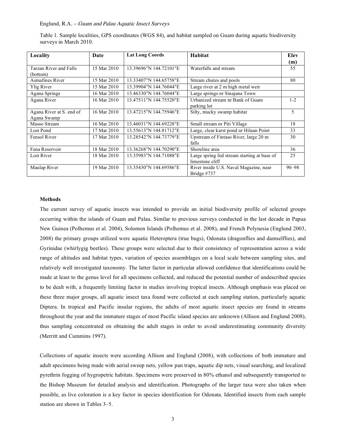Table 1. Sample localities, GPS coordinates (WGS 84), and habitat sampled on Guam during aquatic biodiversity surveys in March 2010.

| Locality                 | Date        | <b>Lat Long Coords</b> | <b>Habitat</b>                              | Elev      |
|--------------------------|-------------|------------------------|---------------------------------------------|-----------|
|                          |             |                        |                                             | (m)       |
| Tarzan River and Falls   | 15 Mar 2010 | 13.39696°N 144.72101°E | Waterfalls and stream                       | 55        |
| (bottom)                 |             |                        |                                             |           |
| Asmafines River          | 15 Mar 2010 | 13.33407°N 144.65758°E | Stream chutes and pools                     | 80        |
| Ylig River               | 15 Mar 2010 | 13.39904°N 144.76044°E | Large river at 2 m high metal weir          |           |
| Agana Springs            | 16 Mar 2010 | 13.46330°N 144.76044°E | Large springs nr Sinajana Town              |           |
| Agana River              | 16 Mar 2010 | 13.47511°N 144.75520°E | Urbanized stream nr Bank of Guam            | $1 - 2$   |
|                          |             |                        | parking lot                                 |           |
| Agana River at S. end of | 16 Mar 2010 | 13.47215°N 144.75946°E | Silty, mucky swamp habitat                  | 5         |
| Agana Swamp              |             |                        |                                             |           |
| Masso Stream             | 16 Mar 2010 | 13.46031°N 144.69228°E | Small stream nr Piti Village                | 18        |
| Lost Pond                | 17 Mar 2010 | 13.55613°N 144.81712°E | Large, clear karst pond nr Hilaan Point     | 33        |
| Fensol River             | 17 Mar 2010 | 13.28542°N 144.73779°E | Upstream of Fintaso River, large 20 m       | 30        |
|                          |             |                        | falls                                       |           |
| Fena Reservoir           | 18 Mar 2010 | 13.36268°N 144.70290°E | Shoreline area                              | 36        |
| Lost River               | 18 Mar 2010 | 13.35983°N 144.71088°E | Large spring fed stream starting at base of | 25        |
|                          |             |                        | limestone cliff                             |           |
| Maulap River             | 19 Mar 2010 | 13.35430°N 144.69586°E | River inside U.S. Naval Magazine, near      | $90 - 98$ |
|                          |             |                        | Bridge #737                                 |           |

#### **Methods**

The current survey of aquatic insects was intended to provide an initial biodiversity profile of selected groups occurring within the islands of Guam and Palau. Similar to previous surveys conducted in the last decade in Papua New Guinea (Polhemus et al. 2004), Solomon Islands (Polhemus et al. 2008), and French Polynesia (Englund 2003, 2008) the primary groups utilized were aquatic Heteroptera (true bugs), Odonata (dragonflies and damselflies), and Gyrinidae (whirlygig beetles). These groups were selected due to their consistency of representation across a wide range of altitudes and habitat types, variation of species assemblages on a local scale between sampling sites, and relatively well investigated taxonomy. The latter factor in particular allowed confidence that identifications could be made at least to the genus level for all specimens collected, and reduced the potential number of undescribed species to be dealt with, a frequently limiting factor in studies involving tropical insects. Although emphasis was placed on these three major groups, all aquatic insect taxa found were collected at each sampling station, particularly aquatic Diptera. In tropical and Pacific insular regions, the adults of most aquatic insect species are found in streams throughout the year and the immature stages of most Pacific island species are unknown (Allison and Englund 2008), thus sampling concentrated on obtaining the adult stages in order to avoid underestimating community diversity (Merritt and Cummins 1997).

Collections of aquatic insects were according Allison and Englund (2008), with collections of both immature and adult specimens being made with aerial sweep nets, yellow pan traps, aquatic dip nets, visual searching, and localized pyrethrin fogging of hygropetric habitats. Specimens were preserved in 80% ethanol and subsequently transported to the Bishop Museum for detailed analysis and identification. Photographs of the larger taxa were also taken when possible, as live coloration is a key factor in species identification for Odonata. Identified insects from each sample station are shown in Tables 3–5.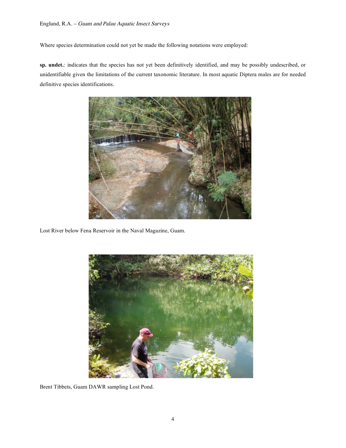Where species determination could not yet be made the following notations were employed:

**sp. undet.**: indicates that the species has not yet been definitively identified, and may be possibly undescribed, or unidentifiable given the limitations of the current taxonomic literature. In most aquatic Diptera males are for needed definitive species identifications.



Lost River below Fena Reservoir in the Naval Magazine, Guam.



Brent Tibbets, Guam DAWR sampling Lost Pond.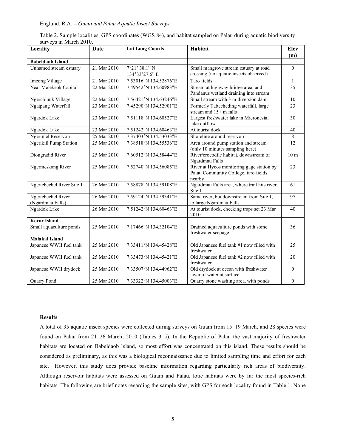| Table 2. Sample localities, GPS coordinates (WGS 84), and habitat sampled on Palau during aquatic biodiversity |  |  |  |
|----------------------------------------------------------------------------------------------------------------|--|--|--|
| surveys in March 2010.                                                                                         |  |  |  |

| Locality                               | Date                     | <b>Lat Long Coords</b> | Habitat                                                                                     | <b>Elev</b><br>(m) |
|----------------------------------------|--------------------------|------------------------|---------------------------------------------------------------------------------------------|--------------------|
| <b>Babeldaob Island</b>                |                          |                        |                                                                                             |                    |
| Unnamed stream estuary                 | 21 Mar 2010              | 7°21'38.1"N            | Small mangrove stream estuary at road                                                       | $\Omega$           |
|                                        |                          | 134°33'27.6" E         | crossing (no aquatic insects observed)                                                      |                    |
| Imeong Village                         | $\overline{21}$ Mar 2010 | 7.53016°N 134.52876°E  | Taro fields                                                                                 | $\mathbf{1}$       |
| Near Melekeok Capital                  | 22 Mar 2010              | 7.49542°N 134.60983°E  | Stream at highway bridge area, and                                                          | 35                 |
|                                        |                          |                        | Pandanus wetland draining into stream                                                       |                    |
| Ngerchluuk Village                     | 22 Mar 2010              | 7.56421°N 134.63246°E  | Small stream with 3 m diversion dam                                                         | 10                 |
| Ngatpang Waterfall                     | 23 Mar 2010              | 7.45290°N 134.52901°E  | Formerly Tabecheding waterfall, large<br>stream and 15+ m falls                             | 23                 |
| Ngardok Lake                           | 23 Mar 2010              | 7.51118°N 134.60527°E  | Largest freshwater lake in Micronesia,                                                      | 30                 |
|                                        |                          |                        | lake outflow                                                                                |                    |
| Ngardok Lake                           | 23 Mar 2010              | 7.51242°N 134.60463°E  | At tourist dock                                                                             | 40                 |
| Ngerimel Reservoir                     | 25 Mar 2010              | 7.37403°N 134.53033°E  | Shoreline around reservoir                                                                  | $8\,$              |
| Ngerikiil Pump Station                 | 25 Mar 2010              | 7.38518°N 134.55536°E  | Area around pump station and stream                                                         | 12                 |
|                                        |                          |                        | (only 10 minutes sampling here)                                                             |                    |
| Diongradid River                       | 25 Mar 2010              | 7.60512°N 134.58444°E  | River/crocodile habitat, downstream of<br>Ngardmau Falls                                    | 10 <sub>m</sub>    |
| Ngermeskang River                      | 25 Mar 2010              | 7.52740°N 134.56085°E  | River at Hycos monitoring gage station by<br>Palau Community College, taro fields<br>nearby | 23                 |
| Ngertebechel River Site 1              | 26 Mar 2010              | 7.58878°N 134.59108°E  | Ngardmau Falls area, where trail hits river,<br>Site 1                                      | 61                 |
| Ngertebechel River<br>(Ngardmau Falls) | 26 Mar 2010              | 7.59124°N 134.59341°E  | Same river, but downstream from Site 1,<br>to large Ngardmau Falls                          | 97                 |
| Ngardok Lake                           | 26 Mar 2010              | 7.51242°N 134.60463°E  | At tourist dock, checking traps set 23 Mar<br>2010                                          | 40                 |
| <b>Koror Island</b>                    |                          |                        |                                                                                             |                    |
| Small aquaculture ponds                | 25 Mar 2010              | 7.17466°N 134.32104°E  | Drained aquaculture ponds with some<br>freshwater seepage                                   | 36                 |
| <b>Malakal Island</b>                  |                          |                        |                                                                                             |                    |
| Japanese WWII fuel tank                | 25 Mar 2010              | 7.33411°N 134.45428°E  | Old Japanese fuel tank #1 now filled with<br>freshwater                                     | 25                 |
| Japanese WWII fuel tank                | 25 Mar 2010              | 7.33473°N 134.45421°E  | Old Japanese fuel tank #2 now filled with<br>freshwater                                     | 20                 |
| Japanese WWII drydock                  | 25 Mar 2010              | 7.33507°N 134.44962°E  | Old drydock at ocean with freshwater<br>layer of water at surface                           | $\theta$           |
| Quarry Pond                            | 25 Mar 2010              | 7.33322°N 134.45003°E  | Quarry stone washing area, with ponds                                                       | $\boldsymbol{0}$   |

#### **Results**

A total of 35 aquatic insect species were collected during surveys on Guam from 15–19 March, and 28 species were found on Palau from 21–26 March, 2010 (Tables 3–5). In the Republic of Palau the vast majority of freshwater habitats are located on Babeldaob Island, so most effort was concentrated on this island. These results should be considered as preliminary, as this was a biological reconnaissance due to limited sampling time and effort for each site. However, this study does provide baseline information regarding particularly rich areas of biodiversity. Although reservoir habitats were assessed on Guam and Palau, lotic habitats were by far the most species-rich habitats. The following are brief notes regarding the sample sites, with GPS for each locality found in Table 1. None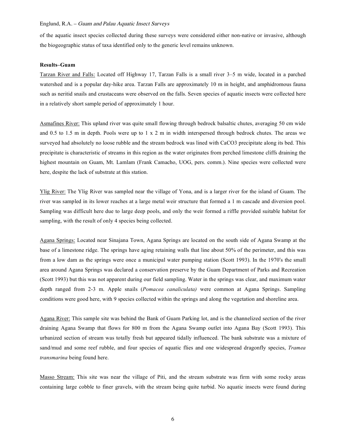of the aquatic insect species collected during these surveys were considered either non-native or invasive, although the biogeographic status of taxa identified only to the generic level remains unknown.

#### **Results–Guam**

Tarzan River and Falls: Located off Highway 17, Tarzan Falls is a small river 3–5 m wide, located in a parched watershed and is a popular day-hike area. Tarzan Falls are approximately 10 m in height, and amphidromous fauna such as neritid snails and crustaceans were observed on the falls. Seven species of aquatic insects were collected here in a relatively short sample period of approximately 1 hour.

Asmafines River: This upland river was quite small flowing through bedrock balsaltic chutes, averaging 50 cm wide and 0.5 to 1.5 m in depth. Pools were up to 1 x 2 m in width interspersed through bedrock chutes. The areas we surveyed had absolutely no loose rubble and the stream bedrock was lined with CaCO3 precipitate along its bed. This precipitate is characteristic of streams in this region as the water originates from perched limestone cliffs draining the highest mountain on Guam, Mt. Lamlam (Frank Camacho, UOG, pers. comm.). Nine species were collected were here, despite the lack of substrate at this station.

Ylig River: The Ylig River was sampled near the village of Yona, and is a larger river for the island of Guam. The river was sampled in its lower reaches at a large metal weir structure that formed a 1 m cascade and diversion pool. Sampling was difficult here due to large deep pools, and only the weir formed a riffle provided suitable habitat for sampling, with the result of only 4 species being collected.

Agana Springs: Located near Sinajana Town, Agana Springs are located on the south side of Agana Swamp at the base of a limestone ridge. The springs have aging retaining walls that line about 50% of the perimeter, and this was from a low dam as the springs were once a municipal water pumping station (Scott 1993). In the 1970ʻs the small area around Agana Springs was declared a conservation preserve by the Guam Department of Parks and Recreation (Scott 1993) but this was not apparent during our field sampling. Water in the springs was clear, and maximum water depth ranged from 2-3 m. Apple snails (*Pomacea canaliculata)* were common at Agana Springs. Sampling conditions were good here, with 9 species collected within the springs and along the vegetation and shoreline area.

Agana River: This sample site was behind the Bank of Guam Parking lot, and is the channelized section of the river draining Agana Swamp that flows for 800 m from the Agana Swamp outlet into Agana Bay (Scott 1993). This urbanized section of stream was totally fresh but appeared tidally influenced. The bank substrate was a mixture of sand/mud and some reef rubble, and four species of aquatic flies and one widespread dragonfly species, *Tramea transmarina* being found here.

Masso Stream: This site was near the village of Piti, and the stream substrate was firm with some rocky areas containing large cobble to finer gravels, with the stream being quite turbid. No aquatic insects were found during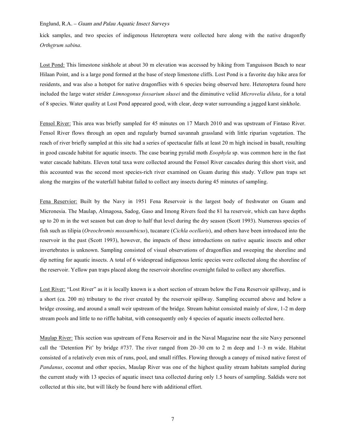kick samples, and two species of indigenous Heteroptera were collected here along with the native dragonfly *Orthetrum sabina*.

Lost Pond: This limestone sinkhole at about 30 m elevation was accessed by hiking from Tanguisson Beach to near Hilaan Point, and is a large pond formed at the base of steep limestone cliffs. Lost Pond is a favorite day hike area for residents, and was also a hotspot for native dragonflies with 6 species being observed here. Heteroptera found here included the large water strider *Limnogonus fossarium skusei* and the diminutive veliid *Microvelia diluta*, for a total of 8 species. Water quality at Lost Pond appeared good, with clear, deep water surrounding a jagged karst sinkhole.

Fensol River: This area was briefly sampled for 45 minutes on 17 March 2010 and was upstream of Fintaso River. Fensol River flows through an open and regularly burned savannah grassland with little riparian vegetation. The reach of river briefly sampled at this site had a series of spectacular falls at least 20 m high incised in basalt, resulting in good cascade habitat for aquatic insects. The case bearing pyralid moth *Eoophyla* sp. was common here in the fast water cascade habitats. Eleven total taxa were collected around the Fensol River cascades during this short visit, and this accounted was the second most species-rich river examined on Guam during this study. Yellow pan traps set along the margins of the waterfall habitat failed to collect any insects during 45 minutes of sampling.

Fena Reservior: Built by the Navy in 1951 Fena Reservoir is the largest body of freshwater on Guam and Micronesia. The Maulap, Almagosa, Sadog, Gaso and Imong Rivers feed the 81 ha reservoir, which can have depths up to 20 m in the wet season but can drop to half that level during the dry season (Scott 1993). Numerous species of fish such as tilipia (*Oreochromis mossambicus*), tucanare (*Cichla ocellaris*), and others have been introduced into the reservoir in the past (Scott 1993), however, the impacts of these introductions on native aquatic insects and other invertebrates is unknown. Sampling consisted of visual observations of dragonflies and sweeping the shoreline and dip netting for aquatic insects. A total of 6 widespread indigenous lentic species were collected along the shoreline of the reservoir. Yellow pan traps placed along the reservoir shoreline overnight failed to collect any shoreflies.

Lost River: "Lost River" as it is locally known is a short section of stream below the Fena Reservoir spillway, and is a short (ca. 200 m) tributary to the river created by the reservoir spillway. Sampling occurred above and below a bridge crossing, and around a small weir upstream of the bridge. Stream habitat consisted mainly of slow, 1-2 m deep stream pools and little to no riffle habitat, with consequently only 4 species of aquatic insects collected here.

Maulap River: This section was upstream of Fena Reservoir and in the Naval Magazine near the site Navy personnel call the 'Detention Pit' by bridge #737. The river ranged from 20–30 cm to 2 m deep and 1–3 m wide. Habitat consisted of a relatively even mix of runs, pool, and small riffles. Flowing through a canopy of mixed native forest of *Pandanus*, coconut and other species, Maulap River was one of the highest quality stream habitats sampled during the current study with 13 species of aquatic insect taxa collected during only 1.5 hours of sampling. Saldids were not collected at this site, but will likely be found here with additional effort.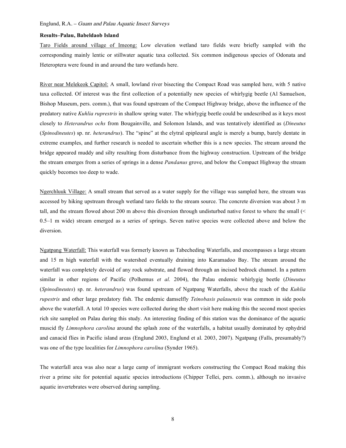#### **Results–Palau, Babeldaob Island**

Taro Fields around village of Imeong: Low elevation wetland taro fields were briefly sampled with the corresponding mainly lentic or stillwater aquatic taxa collected. Six common indigenous species of Odonata and Heteroptera were found in and around the taro wetlands here.

River near Melekeok Capitol: A small, lowland river bisecting the Compact Road was sampled here, with 5 native taxa collected. Of interest was the first collection of a potentially new species of whirlygig beetle (Al Samuelson, Bishop Museum, pers. comm.), that was found upstream of the Compact Highway bridge, above the influence of the predatory native *Kuhlia ruprestris* in shallow spring water. The whirlygig beetle could be undescribed as it keys most closely to *Heterandrus ochs* from Bougainville, and Solomon Islands, and was tentatively identified as (*Dineutus* (*Spinodineutes*) sp. nr. *heterandrus*). The "spine" at the elytral epipleural angle is merely a bump, barely dentate in extreme examples, and further research is needed to ascertain whether this is a new species. The stream around the bridge appeared muddy and silty resulting from disturbance from the highway construction. Upstream of the bridge the stream emerges from a series of springs in a dense *Pandanus* grove, and below the Compact Highway the stream quickly becomes too deep to wade.

Ngerchluuk Village: A small stream that served as a water supply for the village was sampled here, the stream was accessed by hiking upstream through wetland taro fields to the stream source. The concrete diversion was about 3 m tall, and the stream flowed about 200 m above this diversion through undisturbed native forest to where the small (< 0.5–1 m wide) stream emerged as a series of springs. Seven native species were collected above and below the diversion.

Ngatpang Waterfall: This waterfall was formerly known as Tabecheding Waterfalls, and encompasses a large stream and 15 m high waterfall with the watershed eventually draining into Karamadoo Bay. The stream around the waterfall was completely devoid of any rock substrate, and flowed through an incised bedrock channel. In a pattern similar in other regions of Pacific (Polhemus *et al.* 2004), the Palau endemic whirlygig beetle (*Dineutus* (*Spinodineutes*) sp. nr. *heterandrus*) was found upstream of Ngatpang Waterfalls, above the reach of the *Kuhlia rupestris* and other large predatory fish. The endemic damselfly *Teinobasis palauensis* was common in side pools above the waterfall. A total 10 species were collected during the short visit here making this the second most species rich site sampled on Palau during this study. An interesting finding of this station was the dominance of the aquatic muscid fly *Limnophora carolina* around the splash zone of the waterfalls, a habitat usually dominated by ephydrid and canacid flies in Pacific island areas (Englund 2003, Englund et al. 2003, 2007). Ngatpang (Falls, presumably?) was one of the type localities for *Limnophora carolina* (Synder 1965).

The waterfall area was also near a large camp of immigrant workers constructing the Compact Road making this river a prime site for potential aquatic species introductions (Chipper Tellei, pers. comm.), although no invasive aquatic invertebrates were observed during sampling.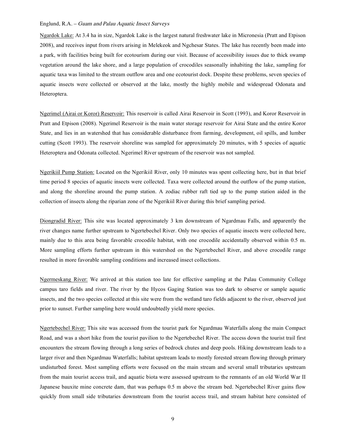Ngardok Lake: At 3.4 ha in size, Ngardok Lake is the largest natural freshwater lake in Micronesia (Pratt and Etpison 2008), and receives input from rivers arising in Melekeok and Ngchesar States. The lake has recently been made into a park, with facilities being built for ecotourism during our visit. Because of accessibility issues due to thick swamp vegetation around the lake shore, and a large population of crocodiles seasonally inhabiting the lake, sampling for aquatic taxa was limited to the stream outflow area and one ecotourist dock. Despite these problems, seven species of aquatic insects were collected or observed at the lake, mostly the highly mobile and widespread Odonata and Heteroptera.

Ngerimel (Airai or Koror) Reservoir: This reservoir is called Airai Reservoir in Scott (1993), and Koror Reservoir in Pratt and Etpison (2008). Ngerimel Reservoir is the main water storage reservoir for Airai State and the entire Koror State, and lies in an watershed that has considerable disturbance from farming, development, oil spills, and lumber cutting (Scott 1993). The reservoir shoreline was sampled for approximately 20 minutes, with 5 species of aquatic Heteroptera and Odonata collected. Ngerimel River upstream of the reservoir was not sampled.

Ngerikiil Pump Station: Located on the Ngerikiil River, only 10 minutes was spent collecting here, but in that brief time period 8 species of aquatic insects were collected. Taxa were collected around the outflow of the pump station, and along the shoreline around the pump station. A zodiac rubber raft tied up to the pump station aided in the collection of insects along the riparian zone of the Ngerikiil River during this brief sampling period.

Diongradid River: This site was located approximately 3 km downstream of Ngardmau Falls, and apparently the river changes name further upstream to Ngertebechel River. Only two species of aquatic insects were collected here, mainly due to this area being favorable crocodile habitat, with one crocodile accidentally observed within 0.5 m. More sampling efforts further upstream in this watershed on the Ngertebechel River, and above crocodile range resulted in more favorable sampling conditions and increased insect collections.

Ngermeskang River: We arrived at this station too late for effective sampling at the Palau Community College campus taro fields and river. The river by the Hycos Gaging Station was too dark to observe or sample aquatic insects, and the two species collected at this site were from the wetland taro fields adjacent to the river, observed just prior to sunset. Further sampling here would undoubtedly yield more species.

Ngertebechel River: This site was accessed from the tourist park for Ngardmau Waterfalls along the main Compact Road, and was a short hike from the tourist pavilion to the Ngertebechel River. The access down the tourist trail first encounters the stream flowing through a long series of bedrock chutes and deep pools. Hiking downstream leads to a larger river and then Ngardmau Waterfalls; habitat upstream leads to mostly forested stream flowing through primary undisturbed forest. Most sampling efforts were focused on the main stream and several small tributaries upstream from the main tourist access trail, and aquatic biota were assessed upstream to the remnants of an old World War II Japanese bauxite mine concrete dam, that was perhaps 0.5 m above the stream bed. Ngertebechel River gains flow quickly from small side tributaries downstream from the tourist access trail, and stream habitat here consisted of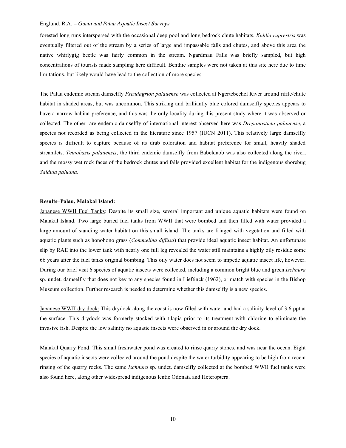forested long runs interspersed with the occasional deep pool and long bedrock chute habitats. *Kuhlia ruprestris* was eventually filtered out of the stream by a series of large and impassable falls and chutes, and above this area the native whirlygig beetle was fairly common in the stream. Ngardmau Falls was briefly sampled, but high concentrations of tourists made sampling here difficult. Benthic samples were not taken at this site here due to time limitations, but likely would have lead to the collection of more species.

The Palau endemic stream damselfly *Pseudagrion palauense* was collected at Ngertebechel River around riffle/chute habitat in shaded areas, but was uncommon. This striking and brilliantly blue colored damselfly species appears to have a narrow habitat preference, and this was the only locality during this present study where it was observed or collected. The other rare endemic damselfly of international interest observed here was *Drepanosticta palauense*, a species not recorded as being collected in the literature since 1957 (IUCN 2011). This relatively large damselfly species is difficult to capture because of its drab coloration and habitat preference for small, heavily shaded streamlets. *Teinobasis palauensis*, the third endemic damselfly from Babeldaob was also collected along the river, and the mossy wet rock faces of the bedrock chutes and falls provided excellent habitat for the indigenous shorebug *Saldula paluana*.

#### **Results–Palau, Malakal Island:**

Japanese WWII Fuel Tanks: Despite its small size, several important and unique aquatic habitats were found on Malakal Island. Two large buried fuel tanks from WWII that were bombed and then filled with water provided a large amount of standing water habitat on this small island. The tanks are fringed with vegetation and filled with aquatic plants such as honohono grass (*Commelina diffusa*) that provide ideal aquatic insect habitat. An unfortunate slip by RAE into the lower tank with nearly one full leg revealed the water still maintains a highly oily residue some 66 years after the fuel tanks original bombing. This oily water does not seem to impede aquatic insect life, however. During our brief visit 6 species of aquatic insects were collected, including a common bright blue and green *Ischnura* sp. undet. damselfly that does not key to any species found in Lieftinck (1962), or match with species in the Bishop Museum collection. Further research is needed to determine whether this damselfly is a new species.

Japanese WWII dry dock: This drydock along the coast is now filled with water and had a salinity level of 3.6 ppt at the surface. This drydock was formerly stocked with tilapia prior to its treatment with chlorine to eliminate the invasive fish. Despite the low salinity no aquatic insects were observed in or around the dry dock.

Malakal Quarry Pond: This small freshwater pond was created to rinse quarry stones, and was near the ocean. Eight species of aquatic insects were collected around the pond despite the water turbidity appearing to be high from recent rinsing of the quarry rocks. The same *Ischnura* sp. undet. damselfly collected at the bombed WWII fuel tanks were also found here, along other widespread indigenous lentic Odonata and Heteroptera.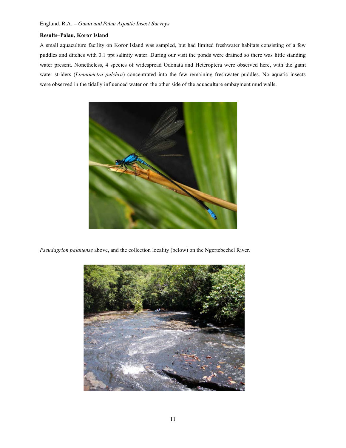#### **Results–Palau, Koror Island**

A small aquaculture facility on Koror Island was sampled, but had limited freshwater habitats consisting of a few puddles and ditches with 0.1 ppt salinity water. During our visit the ponds were drained so there was little standing water present. Nonetheless, 4 species of widespread Odonata and Heteroptera were observed here, with the giant water striders (*Limnometra pulchra*) concentrated into the few remaining freshwater puddles. No aquatic insects were observed in the tidally influenced water on the other side of the aquaculture embayment mud walls.



*Pseudagrion palauense* above, and the collection locality (below) on the Ngertebechel River.

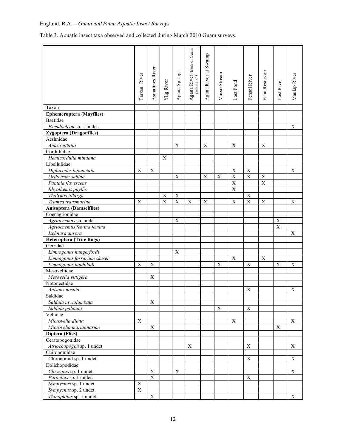Table 3. Aquatic insect taxa observed and collected during March 2010 Guam surveys.

|                                      |                |                         |                   |               | Agana River (Bank of Guam<br>parking lot) |                      |              |                     |              |                |                |              |
|--------------------------------------|----------------|-------------------------|-------------------|---------------|-------------------------------------------|----------------------|--------------|---------------------|--------------|----------------|----------------|--------------|
|                                      |                |                         |                   |               |                                           | Agana River at Swamp |              |                     |              |                |                |              |
|                                      |                |                         |                   |               |                                           |                      |              |                     |              |                |                |              |
|                                      |                |                         |                   |               |                                           |                      |              |                     |              |                |                |              |
|                                      | Tarzan River   | Asmafines River         |                   | Agana Springs |                                           |                      | Masso Stream |                     | Fensol River | Fena Reservoir |                | Maulap River |
|                                      |                |                         |                   |               |                                           |                      |              |                     |              |                |                |              |
|                                      |                |                         | <b>Ylig River</b> |               |                                           |                      |              | $_{\rm Lost\,Pond}$ |              |                | Lost River     |              |
|                                      |                |                         |                   |               |                                           |                      |              |                     |              |                |                |              |
| Taxon                                |                |                         |                   |               |                                           |                      |              |                     |              |                |                |              |
| <b>Ephemeroptera</b> (Mayflies)      |                |                         |                   |               |                                           |                      |              |                     |              |                |                |              |
| Baetidae                             |                |                         |                   |               |                                           |                      |              |                     |              |                |                |              |
| Pseudocleon sp. 1 undet.             |                |                         |                   |               |                                           |                      |              |                     |              |                |                | X            |
| Zygoptera (Dragonflies)              |                |                         |                   |               |                                           |                      |              |                     |              |                |                |              |
| Aeshnidae                            |                |                         |                   |               |                                           |                      |              |                     |              |                |                |              |
| Anax guttatus                        |                |                         |                   | $\mathbf X$   |                                           | $\mathbf X$          |              | $\mathbf X$         |              | $\mathbf X$    |                |              |
| Corduliidae                          |                |                         |                   |               |                                           |                      |              |                     |              |                |                |              |
| Hemicordulia mindana                 |                |                         | X                 |               |                                           |                      |              |                     |              |                |                |              |
| Libellulidae                         |                |                         |                   |               |                                           |                      |              |                     |              |                |                |              |
| Diplacodes bipunctata                | X              | X                       |                   |               |                                           |                      |              | $\mathbf X$         | $\mathbf X$  |                |                | X            |
| Orthetrum sabina                     |                |                         |                   | $\mathbf X$   |                                           | X                    | $\mathbf X$  | $\overline{X}$      | $\mathbf X$  | $\mathbf X$    |                |              |
| Pantala flavescens                   |                |                         |                   |               |                                           |                      |              | $\overline{X}$      |              | $\mathbf X$    |                |              |
| Rhyothemis phyllis                   |                |                         |                   |               |                                           |                      |              | $\mathbf X$         |              |                |                |              |
| Tholymis tillarga                    |                |                         | X                 | $\mathbf X$   |                                           |                      |              |                     | X            |                |                |              |
| Tramea transmarina                   | X              |                         | X                 | $\mathbf X$   | $\mathbf X$                               | X                    |              | $\mathbf X$         | $\mathbf X$  | X              |                | $\mathbf X$  |
| <b>Anisoptera (Damselflies)</b>      |                |                         |                   |               |                                           |                      |              |                     |              |                |                |              |
| Coenagrionidae                       |                |                         |                   |               |                                           |                      |              |                     |              |                |                |              |
| Agriocnemus sp. undet.               |                |                         |                   | X             |                                           |                      |              |                     |              |                | X              |              |
| Agriocnemus femina femina            |                |                         |                   |               |                                           |                      |              |                     |              |                | $\overline{X}$ |              |
| Ischnura aurora                      |                |                         |                   |               |                                           |                      |              |                     |              |                |                | X            |
| Heteroptera (True Bugs)              |                |                         |                   |               |                                           |                      |              |                     |              |                |                |              |
| Gerridae                             |                |                         |                   |               |                                           |                      |              |                     |              |                |                |              |
| Limnogonus hungerfordi               |                |                         |                   | X             |                                           |                      |              |                     |              |                |                |              |
| Limnogonus fossarium skusei          |                |                         |                   |               |                                           |                      |              | $\mathbf X$         |              | $\mathbf X$    |                |              |
| Limnogonus lundbladi<br>Mesoveliidae | X              | X                       |                   |               |                                           |                      | X            |                     | X            |                | X              | X            |
| Mesovelia vittigera                  |                | X                       |                   |               |                                           |                      |              |                     |              |                |                |              |
| Notonectidae                         |                |                         |                   |               |                                           |                      |              |                     |              |                |                |              |
| Anisops nasuta                       |                |                         |                   |               |                                           |                      |              |                     | $\mathbf X$  |                |                | X            |
| Saldidae                             |                |                         |                   |               |                                           |                      |              |                     |              |                |                |              |
| Saldula niveolambata                 |                | X                       |                   |               |                                           |                      |              |                     |              |                |                |              |
| Saldula paluana                      |                |                         |                   |               |                                           |                      | X            |                     | X            |                |                |              |
| Veliidae                             |                |                         |                   |               |                                           |                      |              |                     |              |                |                |              |
| Microvelia diluta                    | X              |                         |                   |               |                                           |                      |              | $\mathbf X$         |              |                |                | X            |
| Microvelia mariannarum               |                | $\mathbf X$             |                   |               |                                           |                      |              |                     |              |                | $\mathbf X$    |              |
| Diptera (Flies)                      |                |                         |                   |               |                                           |                      |              |                     |              |                |                |              |
| Ceratopogonidae                      |                |                         |                   |               |                                           |                      |              |                     |              |                |                |              |
| Atriochopogon sp. 1 undet            |                |                         |                   |               | X                                         |                      |              |                     | X            |                |                | X            |
| Chironomidae                         |                |                         |                   |               |                                           |                      |              |                     |              |                |                |              |
| Chironomid sp. 1 undet.              |                |                         |                   |               |                                           |                      |              |                     | X            |                |                | $\mathbf X$  |
| Dolichopodidae                       |                |                         |                   |               |                                           |                      |              |                     |              |                |                |              |
| Chrysotus sp. 1 undet.               |                | $\mathbf X$             |                   | $\mathbf X$   |                                           |                      |              |                     |              |                |                | $\mathbf X$  |
| Paraclius sp. 1 undet.               |                | $\mathbf X$             |                   |               |                                           |                      |              |                     | X            |                |                |              |
| Sympycnus sp. 1 undet.               | $\mathbf X$    |                         |                   |               |                                           |                      |              |                     |              |                |                |              |
| Sympycnus sp. 2 undet.               | $\overline{X}$ |                         |                   |               |                                           |                      |              |                     |              |                |                |              |
| Thinophilus sp. 1 undet.             |                | $\overline{\mathbf{X}}$ |                   |               |                                           |                      |              |                     |              |                |                | $\mathbf X$  |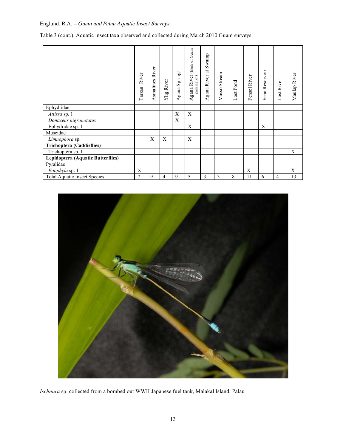Table 3 (cont.). Aquatic insect taxa observed and collected during March 2010 Guam surveys.

|                                     | River<br>Tarzan | Asmafines River | Ylig River | Springs<br>gana<br>⋖ | (Bank of Guam<br>Agana River<br>parking lot) | at Swamp<br>Agana River | Stream<br>Masso: | Lost Pond | Fensol River | Fena Reservoir | Lost River | Maulap River |
|-------------------------------------|-----------------|-----------------|------------|----------------------|----------------------------------------------|-------------------------|------------------|-----------|--------------|----------------|------------|--------------|
| Ephydridae                          |                 |                 |            |                      |                                              |                         |                  |           |              |                |            |              |
| Attissa sp. 1                       |                 |                 |            | X                    | X                                            |                         |                  |           |              |                |            |              |
| Donaceus nigronotatus               |                 |                 |            | X                    |                                              |                         |                  |           |              |                |            |              |
| Ephydridae sp. 1                    |                 |                 |            |                      | X                                            |                         |                  |           |              | X              |            |              |
| Muscidae                            |                 |                 |            |                      |                                              |                         |                  |           |              |                |            |              |
| Limnophora sp.                      |                 | X               | X          |                      | X                                            |                         |                  |           |              |                |            |              |
| Trichoptera (Caddisflies)           |                 |                 |            |                      |                                              |                         |                  |           |              |                |            |              |
| Trichoptera sp. 1                   |                 |                 |            |                      |                                              |                         |                  |           |              |                |            | X            |
| Lepidoptera (Aquatic Butterflies)   |                 |                 |            |                      |                                              |                         |                  |           |              |                |            |              |
| Pyralidae                           |                 |                 |            |                      |                                              |                         |                  |           |              |                |            |              |
| Eoophyla sp. 1                      | X               |                 |            |                      |                                              |                         |                  |           | X            |                |            | X            |
| <b>Total Aquatic Insect Species</b> | 7               | 9               | 4          | 9                    | 5                                            | 3                       | $\mathfrak{Z}$   | 8         | 11           | 6              | 4          | 13           |



*Ischnura* sp. collected from a bombed out WWII Japanese fuel tank, Malakal Island, Palau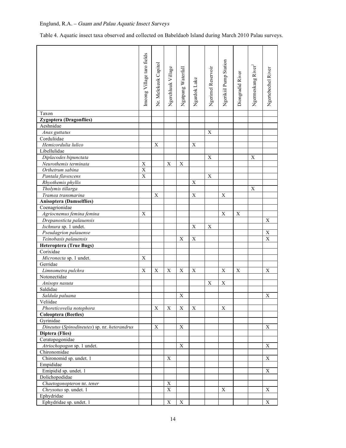Table 4. Aquatic insect taxa observed and collected on Babeldaob Island during March 2010 Palau surveys.

|                                              | Imeong Village taro fields |                      |                    |                    |              |                    |                        |                  |                   |                    |
|----------------------------------------------|----------------------------|----------------------|--------------------|--------------------|--------------|--------------------|------------------------|------------------|-------------------|--------------------|
|                                              |                            | Nr. Melekeok Capitol |                    |                    |              |                    | Ngerikiil Pump Station |                  |                   |                    |
|                                              |                            |                      |                    |                    |              |                    |                        |                  |                   |                    |
|                                              |                            |                      |                    |                    |              |                    |                        |                  |                   |                    |
|                                              |                            |                      |                    |                    |              |                    |                        |                  |                   |                    |
|                                              |                            |                      |                    |                    |              |                    |                        |                  |                   |                    |
|                                              |                            |                      | Ngerchluuk Village | Ngatpang Waterfall | Ngardok Lake |                    |                        | Diongradid River |                   |                    |
|                                              |                            |                      |                    |                    |              | Ngerimel Reservoir |                        |                  | Ngermeskang River | Ngertebechel River |
|                                              |                            |                      |                    |                    |              |                    |                        |                  |                   |                    |
| Taxon                                        |                            |                      |                    |                    |              |                    |                        |                  |                   |                    |
| <b>Zygoptera (Dragonflies)</b><br>Aeshnidae  |                            |                      |                    |                    |              |                    |                        |                  |                   |                    |
|                                              |                            |                      |                    |                    |              |                    |                        |                  |                   |                    |
| Anax guttatus<br>Corduliidae                 |                            |                      |                    |                    |              | X                  |                        |                  |                   |                    |
| Hemicordulia lulico                          |                            | X                    |                    |                    | $\mathbf X$  |                    |                        |                  |                   |                    |
| Libellulidae                                 |                            |                      |                    |                    |              |                    |                        |                  |                   |                    |
| Diplacodes bipunctata                        |                            |                      |                    |                    |              | X                  |                        |                  | X                 |                    |
|                                              | X                          |                      | X                  | X                  |              |                    |                        |                  |                   |                    |
| Neurothemis terminata<br>Orthetrum sabina    | $\overline{X}$             |                      |                    |                    |              |                    |                        |                  |                   |                    |
| Pantala flavescens                           | X                          |                      |                    |                    |              | X                  |                        |                  |                   |                    |
| Rhyothemis phyllis                           |                            |                      |                    |                    | X            |                    |                        |                  |                   |                    |
| Tholymis tillarga                            |                            |                      |                    |                    |              |                    |                        |                  | X                 |                    |
| Tramea transmarina                           |                            | Χ                    |                    |                    | X            |                    | Χ                      |                  |                   |                    |
| <b>Anisoptera (Damselflies)</b>              |                            |                      |                    |                    |              |                    |                        |                  |                   |                    |
| Coenagrionidae                               |                            |                      |                    |                    |              |                    |                        |                  |                   |                    |
| Agriocnemus femina femina                    | Χ                          |                      |                    |                    |              |                    | X                      | Χ                |                   |                    |
| Drepanosticta palauensis                     |                            |                      |                    |                    |              |                    |                        |                  |                   | X                  |
| Ischnura sp. 1 undet.                        |                            |                      |                    |                    | X            | X                  |                        |                  |                   |                    |
| Pseudagrion palauense                        |                            |                      |                    |                    |              |                    |                        |                  |                   | $\mathbf X$        |
| Teinobasis palauensis                        |                            |                      |                    | X                  | $\mathbf X$  |                    |                        |                  |                   | X                  |
| <b>Heteroptera (True Bugs)</b>               |                            |                      |                    |                    |              |                    |                        |                  |                   |                    |
| Corixidae                                    |                            |                      |                    |                    |              |                    |                        |                  |                   |                    |
| Micronecta sp. 1 undet.                      | X                          |                      |                    |                    |              |                    |                        |                  |                   |                    |
| Gerridae                                     |                            |                      |                    |                    |              |                    |                        |                  |                   |                    |
| Limnometra pulchra                           | Χ                          | X                    | X                  | X                  | $\mathbf X$  |                    | $\mathbf X$            | X                |                   | X                  |
| Notonectidae                                 |                            |                      |                    |                    |              |                    |                        |                  |                   |                    |
| Anisops nasuta                               |                            |                      |                    |                    |              | X                  | X                      |                  |                   |                    |
| Saldidae                                     |                            |                      |                    |                    |              |                    |                        |                  |                   |                    |
| Saldula paluana                              |                            |                      |                    | X                  |              |                    |                        |                  |                   | X                  |
| Veliidae                                     |                            |                      |                    |                    |              |                    |                        |                  |                   |                    |
| Phoreticovelia notophora                     |                            | Χ                    | X                  | X                  | X            |                    | X                      |                  |                   |                    |
| <b>Coleoptera</b> (Beetles)                  |                            |                      |                    |                    |              |                    |                        |                  |                   |                    |
| Gyrinidae                                    |                            |                      |                    |                    |              |                    |                        |                  |                   |                    |
| Dineutus (Spinodineutes) sp. nr. heterandrus |                            | X                    |                    | X                  |              |                    |                        |                  |                   | X                  |
| Diptera (Flies)                              |                            |                      |                    |                    |              |                    |                        |                  |                   |                    |
| Ceratopogonidae                              |                            |                      |                    |                    |              |                    |                        |                  |                   |                    |
| Atriochopogon sp. 1 undet.                   |                            |                      |                    | X                  |              |                    |                        |                  |                   | X                  |
| Chironomidae                                 |                            |                      |                    |                    |              |                    |                        |                  |                   |                    |
| Chironomid sp. undet. 1                      |                            |                      | X                  |                    |              |                    |                        |                  |                   | X                  |
| Empididae                                    |                            |                      |                    |                    |              |                    |                        |                  |                   |                    |
| Emipidid sp. undet. 1                        |                            |                      |                    |                    |              |                    |                        |                  |                   | X                  |
| Dolichopodidae                               |                            |                      |                    |                    |              |                    |                        |                  |                   |                    |
| Chaetogonopteron nr. tener                   |                            |                      | X                  |                    |              |                    |                        |                  |                   |                    |
| Chrysotus sp. undet. 1                       |                            |                      | $\mathbf X$        |                    |              |                    | X                      |                  |                   | X                  |
| Ephydridae                                   |                            |                      |                    |                    |              |                    |                        |                  |                   |                    |
| Ephydridae sp. undet. 1                      |                            |                      | X                  | $\boldsymbol{X}$   |              |                    |                        |                  |                   | X                  |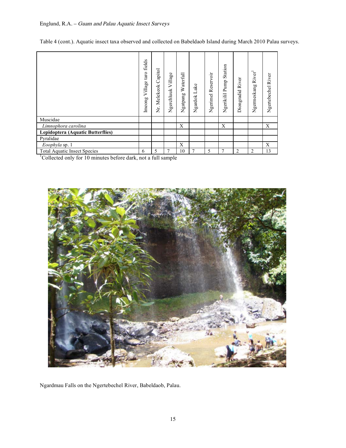Table 4 (cont.). Aquatic insect taxa observed and collected on Babeldaob Island during March 2010 Palau surveys.

|                                     | fields<br>taro<br>Village<br>Imeong | Capitol<br>Melekeok<br>Ż. | Village<br>Ngerchluuk | Waterfall<br>gatpang<br>z | Lake<br>Ngardok | Ngerimel Reservoir | Station<br>Ngerikilil Pump | Diongradid River | River <sup>1</sup><br>Ngermeskang | Ngertebechel River |
|-------------------------------------|-------------------------------------|---------------------------|-----------------------|---------------------------|-----------------|--------------------|----------------------------|------------------|-----------------------------------|--------------------|
| Muscidae                            |                                     |                           |                       |                           |                 |                    |                            |                  |                                   |                    |
| Limnophora carolina                 |                                     |                           |                       | X                         |                 |                    | X                          |                  |                                   | X                  |
| Lepidoptera (Aquatic Butterflies)   |                                     |                           |                       |                           |                 |                    |                            |                  |                                   |                    |
| Pyralidae                           |                                     |                           |                       |                           |                 |                    |                            |                  |                                   |                    |
| Eoophyla sp. 1                      |                                     |                           |                       | X                         |                 |                    |                            |                  |                                   | X                  |
| <b>Total Aquatic Insect Species</b> | 6                                   | 5                         |                       | 10                        |                 | 5                  | 7                          | 2                | 2                                 | 13                 |

<sup>1</sup>Collected only for 10 minutes before dark, not a full sample



Ngardmau Falls on the Ngertebechel River, Babeldaob, Palau.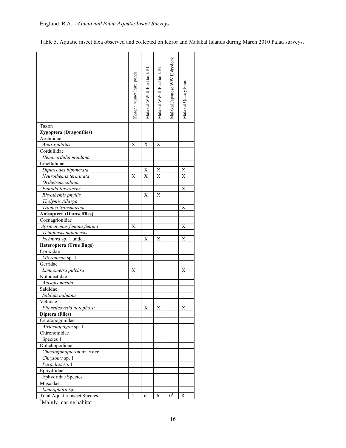Table 5. Aquatic insect taxa observed and collected on Koror and Malakal Islands during March 2010 Palau surveys.

|                                             | Koror : aquaculture ponds | Malakal WW II Fuel tank #1 | Malakal WW II Fuel tank #2 | Malakal Japanese WW II drydock | Malakal Quarry Pond |
|---------------------------------------------|---------------------------|----------------------------|----------------------------|--------------------------------|---------------------|
| Taxon                                       |                           |                            |                            |                                |                     |
| Zygoptera (Dragonflies)                     |                           |                            |                            |                                |                     |
| Aeshnidae                                   |                           |                            |                            |                                |                     |
| Anax guttatus                               | Х                         | Х                          | Х                          |                                |                     |
| Corduliidae                                 |                           |                            |                            |                                |                     |
| Hemicordulia mindana                        |                           |                            |                            |                                |                     |
| Libellulidae                                |                           |                            |                            |                                |                     |
| Diplacodes bipunctata                       |                           | X                          | X                          |                                | X                   |
| Neurothemis terminata                       | X                         | X                          | X                          |                                | X                   |
| Orthetrum sabina                            |                           |                            |                            |                                |                     |
| Pantala flavescens                          |                           |                            |                            |                                | X                   |
| Rhyothemis phyllis                          |                           | Х                          | Х                          |                                |                     |
| Tholymis tillarga                           |                           |                            |                            |                                |                     |
| Tramea transmarina                          |                           |                            |                            |                                | Х                   |
| <b>Anisoptera (Damselflies)</b>             |                           |                            |                            |                                |                     |
| Coenagrionidae                              |                           |                            |                            |                                |                     |
| Agriocnemus femina femina                   | Χ                         |                            |                            |                                | X                   |
| Teinobasis palauensis                       |                           |                            |                            |                                |                     |
| Ischnura sp. 1 undet.                       |                           | Х                          | Х                          |                                | X                   |
| <b>Heteroptera (True Bugs)</b>              |                           |                            |                            |                                |                     |
| Corixidae                                   |                           |                            |                            |                                |                     |
| Micronecta sp. 1                            |                           |                            |                            |                                |                     |
| Gerridae                                    |                           |                            |                            |                                |                     |
| Limnometra pulchra                          | Х                         |                            |                            |                                | Х                   |
| Notonectidae                                |                           |                            |                            |                                |                     |
| Anisops nasuta                              |                           |                            |                            |                                |                     |
| Saldidae                                    |                           |                            |                            |                                |                     |
| Saldula paluana                             |                           |                            |                            |                                |                     |
| Veliidae                                    |                           |                            |                            |                                |                     |
| Phoreticovelia notophora<br>Diptera (Flies) |                           | X                          | X                          |                                | X                   |
|                                             |                           |                            |                            |                                |                     |
| Ceratopogonidae<br>Atriochopogon sp. 1      |                           |                            |                            |                                |                     |
| Chironomidae                                |                           |                            |                            |                                |                     |
| Species 1                                   |                           |                            |                            |                                |                     |
| Dolichopodidae                              |                           |                            |                            |                                |                     |
| Chaetogonopteron nr. tener                  |                           |                            |                            |                                |                     |
| Chrysotus sp. 1                             |                           |                            |                            |                                |                     |
| Paraclius sp. 1                             |                           |                            |                            |                                |                     |
| Ephydridae                                  |                           |                            |                            |                                |                     |
| Ephydridae Species 1                        |                           |                            |                            |                                |                     |
| Muscidae                                    |                           |                            |                            |                                |                     |
| Limnophora sp.                              |                           |                            |                            |                                |                     |
| <b>Total Aquatic Insect Species</b>         | 4                         | 6                          | 6                          | 0 <sup>1</sup>                 | 8                   |

<sup>1</sup>Mainly marine habitat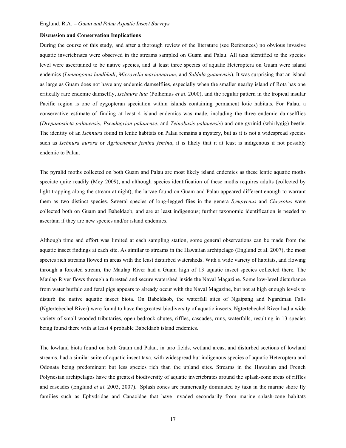#### **Discussion and Conservation Implications**

During the course of this study, and after a thorough review of the literature (see References) no obvious invasive aquatic invertebrates were observed in the streams sampled on Guam and Palau. All taxa identified to the species level were ascertained to be native species, and at least three species of aquatic Heteroptera on Guam were island endemics (*Limnogonus lundbladi*, *Microvelia mariannarum*, and *Saldula guamensis*). It was surprising that an island as large as Guam does not have any endemic damselflies, especially when the smaller nearby island of Rota has one critically rare endemic damselfly, *Ischnura luta* (Polhemus *et al.* 2000), and the regular pattern in the tropical insular Pacific region is one of zygopteran speciation within islands containing permanent lotic habitats. For Palau, a conservative estimate of finding at least 4 island endemics was made, including the three endemic damselflies (*Drepanosticta palauensis*, *Pseudagrion palauense*, and *Teinobasis palauensis*) and one gyrinid (whirlygig) beetle. The identity of an *Ischnura* found in lentic habitats on Palau remains a mystery, but as it is not a widespread species such as *Ischnura aurora* or *Agriocnemus femina femina*, it is likely that it at least is indigenous if not possibly endemic to Palau.

The pyralid moths collected on both Guam and Palau are most likely island endemics as these lentic aquatic moths speciate quite readily (Mey 2009), and although species identification of these moths requires adults (collected by light trapping along the stream at night), the larvae found on Guam and Palau appeared different enough to warrant them as two distinct species. Several species of long-legged flies in the genera *Sympycnus* and *Chrysotus* were collected both on Guam and Babeldaob, and are at least indigenous; further taxonomic identification is needed to ascertain if they are new species and/or island endemics.

Although time and effort was limited at each sampling station, some general observations can be made from the aquatic insect findings at each site. As similar to streams in the Hawaiian archipelago (Englund et al. 2007), the most species rich streams flowed in areas with the least disturbed watersheds. With a wide variety of habitats, and flowing through a forested stream, the Maulap River had a Guam high of 13 aquatic insect species collected there. The Maulap River flows through a forested and secure watershed inside the Naval Magazine. Some low-level disturbance from water buffalo and feral pigs appears to already occur with the Naval Magazine, but not at high enough levels to disturb the native aquatic insect biota. On Babeldaob, the waterfall sites of Ngatpang and Ngardmau Falls (Ngtertebechel River) were found to have the greatest biodiversity of aquatic insects. Ngtertebechel River had a wide variety of small wooded tributaries, open bedrock chutes, riffles, cascades, runs, waterfalls, resulting in 13 species being found there with at least 4 probable Babeldaob island endemics.

The lowland biota found on both Guam and Palau, in taro fields, wetland areas, and disturbed sections of lowland streams, had a similar suite of aquatic insect taxa, with widespread but indigenous species of aquatic Heteroptera and Odonata being predominant but less species rich than the upland sites. Streams in the Hawaiian and French Polynesian archipelagos have the greatest biodiversity of aquatic invertebrates around the splash-zone areas of riffles and cascades (Englund *et al*. 2003, 2007). Splash zones are numerically dominated by taxa in the marine shore fly families such as Ephydridae and Canacidae that have invaded secondarily from marine splash-zone habitats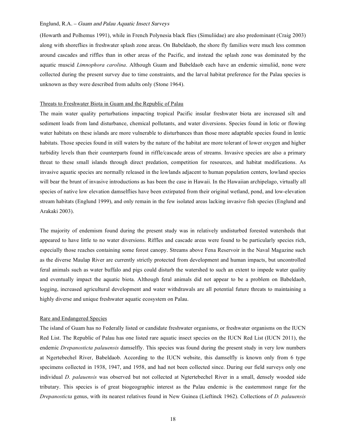(Howarth and Polhemus 1991), while in French Polynesia black flies (Simuliidae) are also predominant (Craig 2003) along with shoreflies in freshwater splash zone areas. On Babeldaob, the shore fly families were much less common around cascades and riffles than in other areas of the Pacific, and instead the splash zone was dominated by the aquatic muscid *Limnophora carolina*. Although Guam and Babeldaob each have an endemic simuliid, none were collected during the present survey due to time constraints, and the larval habitat preference for the Palau species is unknown as they were described from adults only (Stone 1964).

#### Threats to Freshwater Biota in Guam and the Republic of Palau

The main water quality perturbations impacting tropical Pacific insular freshwater biota are increased silt and sediment loads from land disturbance, chemical pollutants, and water diversions. Species found in lotic or flowing water habitats on these islands are more vulnerable to disturbances than those more adaptable species found in lentic habitats. Those species found in still waters by the nature of the habitat are more tolerant of lower oxygen and higher turbidity levels than their counterparts found in riffle/cascade areas of streams. Invasive species are also a primary threat to these small islands through direct predation, competition for resources, and habitat modifications. As invasive aquatic species are normally released in the lowlands adjacent to human population centers, lowland species will bear the brunt of invasive introductions as has been the case in Hawaii. In the Hawaiian archipelago, virtually all species of native low elevation damselflies have been extirpated from their original wetland, pond, and low-elevation stream habitats (Englund 1999), and only remain in the few isolated areas lacking invasive fish species (Englund and Arakaki 2003).

The majority of endemism found during the present study was in relatively undisturbed forested watersheds that appeared to have little to no water diversions. Riffles and cascade areas were found to be particularly species rich, especially those reaches containing some forest canopy. Streams above Fena Reservoir in the Naval Magazine such as the diverse Maulap River are currently strictly protected from development and human impacts, but uncontrolled feral animals such as water buffalo and pigs could disturb the watershed to such an extent to impede water quality and eventually impact the aquatic biota. Although feral animals did not appear to be a problem on Babeldaob, logging, increased agricultural development and water withdrawals are all potential future threats to maintaining a highly diverse and unique freshwater aquatic ecosystem on Palau.

#### Rare and Endangered Species

The island of Guam has no Federally listed or candidate freshwater organisms, or freshwater organisms on the IUCN Red List. The Republic of Palau has one listed rare aquatic insect species on the IUCN Red List (IUCN 2011), the endemic *Drepanosticta palauensis* damselfly. This species was found during the present study in very low numbers at Ngertebechel River, Babeldaob. According to the IUCN website, this damselfly is known only from 6 type specimens collected in 1938, 1947, and 1958, and had not been collected since. During our field surveys only one individual *D. palauensis* was observed but not collected at Ngtertebechel River in a small, densely wooded side tributary. This species is of great biogeographic interest as the Palau endemic is the easternmost range for the *Drepanosticta* genus, with its nearest relatives found in New Guinea (Lieftinck 1962). Collections of *D. palauensis*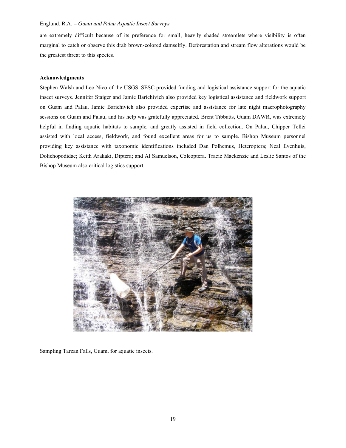are extremely difficult because of its preference for small, heavily shaded streamlets where visibility is often marginal to catch or observe this drab brown-colored damselfly. Deforestation and stream flow alterations would be the greatest threat to this species.

#### **Acknowledgments**

Stephen Walsh and Leo Nico of the USGS–SESC provided funding and logistical assistance support for the aquatic insect surveys. Jennifer Staiger and Jamie Barichivich also provided key logistical assistance and fieldwork support on Guam and Palau. Jamie Barichivich also provided expertise and assistance for late night macrophotography sessions on Guam and Palau, and his help was gratefully appreciated. Brent Tibbatts, Guam DAWR, was extremely helpful in finding aquatic habitats to sample, and greatly assisted in field collection. On Palau, Chipper Tellei assisted with local access, fieldwork, and found excellent areas for us to sample. Bishop Museum personnel providing key assistance with taxonomic identifications included Dan Polhemus, Heteroptera; Neal Evenhuis, Dolichopodidae; Keith Arakaki, Diptera; and Al Samuelson, Coleoptera. Tracie Mackenzie and Leslie Santos of the Bishop Museum also critical logistics support.



Sampling Tarzan Falls, Guam, for aquatic insects.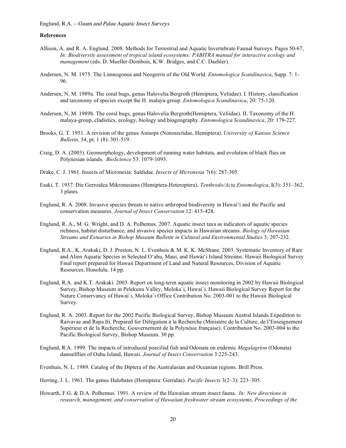#### **References**

- Allison, A. and R. A. Englund. 2008. Methods for Terrestrial and Aquatic Invertebrate Faunal Surveys. Pages 50-67, *In: Biodiversity assessment of tropical island ecosystems: PABITRA manual for interactive ecology and management* (eds. D. Mueller-Dombois, K.W. Bridges, and C.C. Daehler).
- Andersen, N. M. 1975. The Limnogonus and Neogerris of the Old World*. Entomologica Scandinavica*, Supp. 7: 1- 96.
- Andersen, N. M. 1989a. The coral bugs, genus Halovelia Bergroth (Hemiptera, Veliidae). I. History, classification and taxonomy of species except the H. malaya-group. *Entomologica Scandinavica*, 20: 75-120.
- Andersen, N. M. 1989b. The coral bugs, genus Halovelia Bergroth(Hemiptera, Veliidae). II. Taxonomy of the H. malaya-group, cladistics, ecology, biology and biogeography. *Entomologica Scandinavica*, 20: 179-227.
- Brooks, G. T. 1951. A revision of the genus Anisops (Notonectidae, Hemiptera). *University of Kansas Science Bulletin*, 34, pt. 1 (8): 301-519.
- Craig, D. A. (2003). Geomorphology, development of running water habitats, and evolution of black flies on Polynesian islands. *BioScience* 53: 1079-1093.
- Drake, C. J. 1961. Insects of Micronesia: Saldidae. *Insects of Micronesia* 7(6): 287-305.
- Esaki, T. 1937. Die Gerroidea Mikronesiens (Hemiptera-Heteroptera). *Tenthredo/Acta Entomologica*, I(3): 351–362, 3 plates.
- Englund, R. A. 2008. Invasive species threats to native arthropod biodiversity in Hawai'i and the Pacific and conservation measures. *Journal of Insect Conservation* 12: 415-428.
- Englund, R. A., M. G. Wright, and D. A. Polhemus. 2007. Aquatic insect taxa as indicators of aquatic species richness, habitat disturbance, and invasive species impacts in Hawaiian streams. *Biology of Hawaiian Streams and Estuaries in Bishop Museum Bulletin in Cultural and Environmental Studies* 3: 207-232.
- Englund, R.A., K. Arakaki, D. J. Preston, N. L. Evenhuis & M. K. K. McShane. 2003. Systematic Inventory of Rare and Alien Aquatic Species in Selected O'ahu, Maui, and Hawai'i Island Streams. Hawaii Biological Survey Final report prepared for Hawaii Department of Land and Natural Resources, Division of Aquatic Resources, Honolulu. 14 pp.
- Englund, R.A. and K.T. Arakaki. 2003. Report on long-term aquatic insect monitoring in 2002 by Hawaii Biological Survey, Bishop Museum in Pelekunu Valley, Moloka`i, Hawai`i. Hawaii Biological Survey Report for the Nature Conservancy of Hawai`i, Moloka`i Office Contribution No. 2003-001 to the Hawaii Biological Survey.
- Englund, R. A. 2003. Report for the 2002 Pacific Biological Survey, Bishop Museum Austral Islands Expedition to Raivavae and Rapa Iti. Prepared for Délégation à la Recherche (Ministère de la Culture, de l'Enseignement Supérieur et de la Recherche, Gouvernement de la Polynésie française). Contribution No. 2003-004 to the Pacific Biological Survey, Bishop Museum. 30 pp.
- Englund, R.A. 1999. The impacts of introduced poeciliid fish and Odonata on endemic *Megalagrion* (Odonata) damselflies of Oahu Island, Hawaii. *Journal of Insect Conservation* 3:225-243.

Evenhuis, N. L. 1989. Catalog of the Diptera of the Australasian and Oceanian regions. Brill Press.

Howarth, F.G. & D.A. Polhemus. 1991. A review of the Hawaiian stream insect fauna. *In: New directions in research, management, and conservation of Hawaiian freshwater stream ecosystems, Proceedings of the* 

Herring, J. L. 1961. The genus Halobates (Hemiptera: Gerridae). *Pacific Insects* 3(2–3): 223–305.